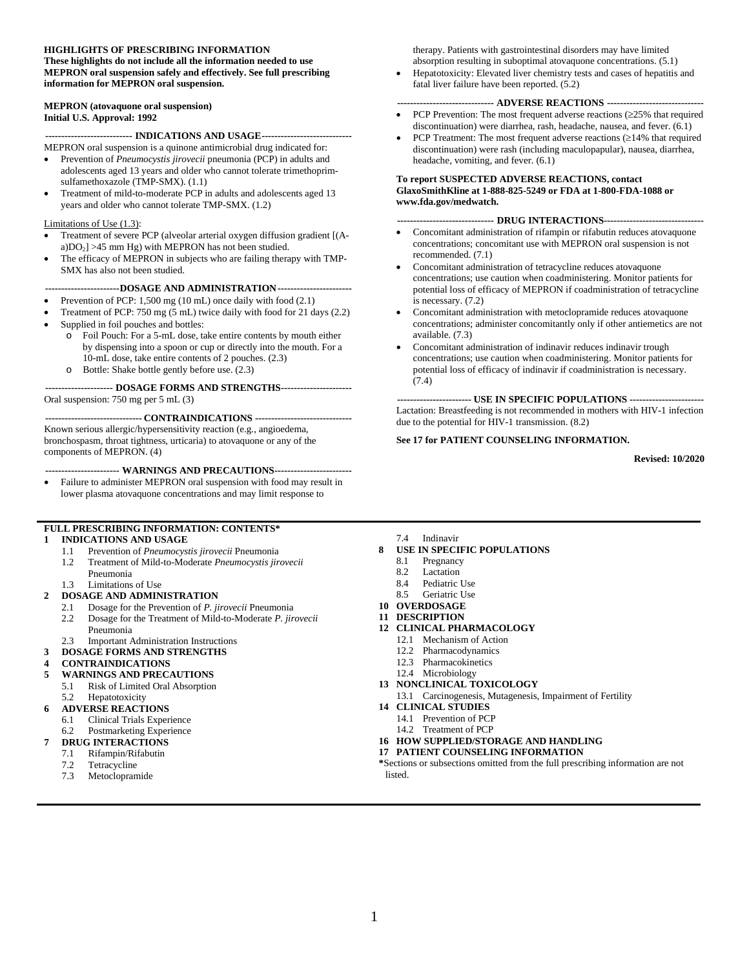#### **HIGHLIGHTS OF PRESCRIBING INFORMATION**

**These highlights do not include all the information needed to use MEPRON oral suspension safely and effectively. See full prescribing information for MEPRON oral suspension.**

#### **MEPRON (atovaquone oral suspension) Initial U.S. Approval: 1992**

**--------------------------- INDICATIONS AND USAGE----------------------------**

- MEPRON oral suspension is a quinone antimicrobial drug indicated for: • Prevention of *Pneumocystis jirovecii* pneumonia (PCP) in adults and adolescents aged 13 years and older who cannot tolerate trimethoprimsulfamethoxazole (TMP-SMX). (1.1)
- Treatment of mild-to-moderate PCP in adults and adolescents aged 13 years and older who cannot tolerate TMP-SMX. (1.2)

#### Limitations of Use (1.3):

- Treatment of severe PCP (alveolar arterial oxygen diffusion gradient [(Aa)DO<sub>2</sub>] >45 mm Hg) with MEPRON has not been studied.
- The efficacy of MEPRON in subjects who are failing therapy with TMP-SMX has also not been studied.

**-----------------------DOSAGE AND ADMINISTRATION-----------------------**

- Prevention of PCP: 1,500 mg (10 mL) once daily with food (2.1)
- Treatment of PCP: 750 mg (5 mL) twice daily with food for 21 days (2.2)
- Supplied in foil pouches and bottles:
	- Foil Pouch: For a 5-mL dose, take entire contents by mouth either by dispensing into a spoon or cup or directly into the mouth. For a 10-mL dose, take entire contents of 2 pouches. (2.3)
	- o Bottle: Shake bottle gently before use. (2.3)

#### **--------------------- DOSAGE FORMS AND STRENGTHS----------------------** Oral suspension: 750 mg per 5 mL (3)

**------------------------------ CONTRAINDICATIONS ------------------------------** Known serious allergic/hypersensitivity reaction (e.g., angioedema, bronchospasm, throat tightness, urticaria) to atovaquone or any of the components of MEPRON. (4)

#### **----------------------- WARNINGS AND PRECAUTIONS------------------------**

• Failure to administer MEPRON oral suspension with food may result in lower plasma atovaquone concentrations and may limit response to

### **FULL PRESCRIBING INFORMATION: CONTENTS\***

#### **1 [INDICATIONS AND USAGE](#page-1-0)**

- 1.1 [Prevention of](#page-1-1) *Pneumocystis jirovecii* Pneumonia
- 1.2 [Treatment of Mild-to-Moderate](#page-1-2) *Pneumocystis jirovecii* [Pneumonia](#page-1-2)
- 1.3 [Limitations of Use](#page-1-3)

#### **2 [DOSAGE AND ADMINISTRATION](#page-1-4)**

- 2.1 [Dosage for the Prevention of](#page-1-5) *P. jirovecii* Pneumonia
- 2.2 [Dosage for the Treatment of Mild-to-Moderate](#page-1-6) *P. jirovecii*
- [Pneumonia](#page-1-6)
- 2.3 [Important Administration Instructions](#page-1-7)

#### **3 [DOSAGE FORMS AND STRENGTHS](#page-2-0)**

- **4 [CONTRAINDICATIONS](#page-2-1)**
- **5 [WARNINGS AND PRECAUTIONS](#page-2-2)**
	- 5.1 [Risk of Limited Oral](#page-2-3) Absorption
	- 5.2 [Hepatotoxicity](#page-2-4)
- **6 [ADVERSE REACTIONS](#page-2-5)**
	- 6.1 [Clinical Trials Experience](#page-2-6)
	- 6.2 [Postmarketing Experience](#page-6-0)
	- **7 [DRUG INTERACTIONS](#page-7-0)**
	- 7.1 [Rifampin/Rifabutin](#page-7-1)
	- [Tetracycline](#page-7-2)
	- 7.3 [Metoclopramide](#page-7-3)
- therapy. Patients with gastrointestinal disorders may have limited absorption resulting in suboptimal atovaquone concentrations. (5.1)
- Hepatotoxicity: Elevated liver chemistry tests and cases of hepatitis and fatal liver failure have been reported. (5.2)

#### **------------------------------ ADVERSE REACTIONS ------------------------------**

- PCP Prevention: The most frequent adverse reactions (≥25% that required discontinuation) were diarrhea, rash, headache, nausea, and fever. (6.1)
- PCP Treatment: The most frequent adverse reactions  $(\geq 14\%$  that required discontinuation) were rash (including maculopapular), nausea, diarrhea, headache, vomiting, and fever. (6.1)

#### **To report SUSPECTED ADVERSE REACTIONS, contact GlaxoSmithKline at 1-888-825-5249 or FDA at 1-800-FDA-1088 or www.fda.gov/medwatch.**

#### **------------------------------ DRUG INTERACTIONS-------------------------------**

- Concomitant administration of rifampin or rifabutin reduces atovaquone concentrations; concomitant use with MEPRON oral suspension is not recommended. (7.1)
- Concomitant administration of tetracycline reduces atovaquone concentrations; use caution when coadministering. Monitor patients for potential loss of efficacy of MEPRON if coadministration of tetracycline is necessary. (7.2)
- Concomitant administration with metoclopramide reduces atovaquone concentrations; administer concomitantly only if other antiemetics are not available. (7.3)
- Concomitant administration of indinavir reduces indinavir trough concentrations; use caution when coadministering. Monitor patients for potential loss of efficacy of indinavir if coadministration is necessary. (7.4)

**----------------------- USE IN SPECIFIC POPULATIONS -----------------------** Lactation: Breastfeeding is not recommended in mothers with HIV-1 infection due to the potential for HIV-1 transmission. (8.2)

#### **See 17 for PATIENT COUNSELING INFORMATION.**

**Revised: 10/2020**

- 7.4 [Indinavir](#page-7-4)
- **8 [USE IN SPECIFIC POPULATIONS](#page-7-5)**
	- 8.1 [Pregnancy](#page-7-6)<br>8.2 Lactation
	- [Lactation](#page-8-0)
	- 8.4 [Pediatric Use](#page-9-0)
	- 8.5 [Geriatric Use](#page-9-1)
- **10 [OVERDOSAGE](#page-9-2)**
- **11 [DESCRIPTION](#page-9-3)**
- **12 [CLINICAL PHARMACOLOGY](#page-10-0)**
	- 12.1 [Mechanism of Action](#page-10-1)
		- 12.2 [Pharmacodynamics](#page-10-2)
		- 12.3 [Pharmacokinetics](#page-11-0)
		- 12.4 [Microbiology](#page-13-0)
- **13 [NONCLINICAL TOXICOLOGY](#page-14-0)**
- 13.1 [Carcinogenesis, Mutagenesis, Impairment of Fertility](#page-14-1)
- **14 [CLINICAL STUDIES](#page-14-2)**
	- 14.1 [Prevention of PCP](#page-14-3)
	- 14.2 [Treatment of PCP](#page-15-0)
- **16 [HOW SUPPLIED/STORAGE](#page-18-0) AND HANDLING**
- **17 [PATIENT COUNSELING INFORMATION](#page-18-1)**

**\***Sections or subsections omitted from the full prescribing information are not listed.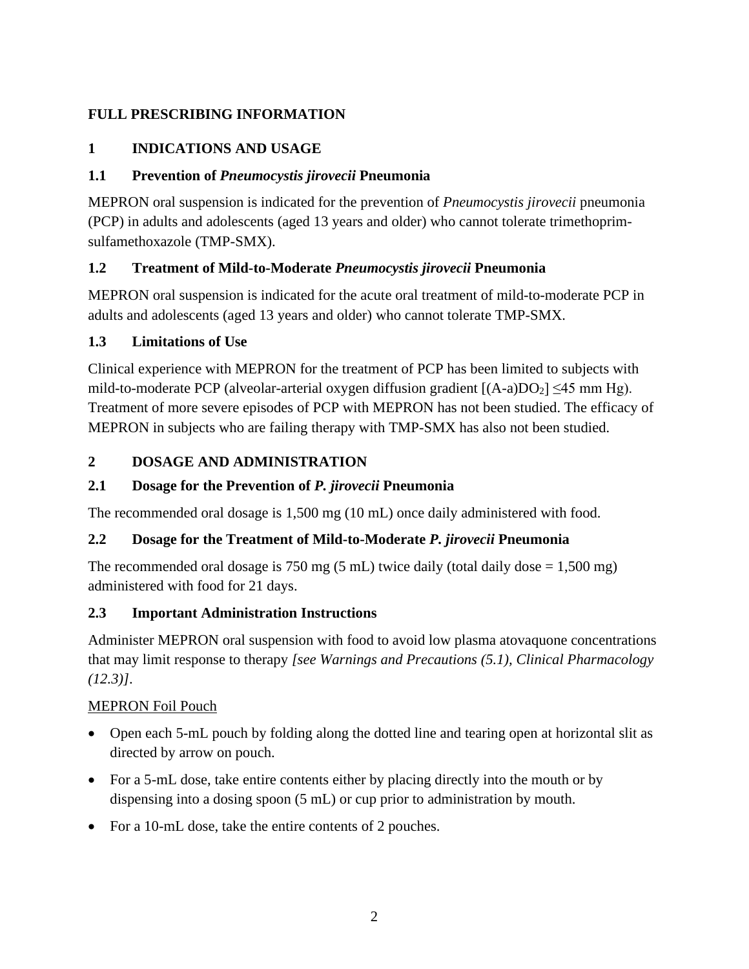## <span id="page-1-0"></span>**FULL PRESCRIBING INFORMATION**

## **1 INDICATIONS AND USAGE**

## <span id="page-1-1"></span>**1.1 Prevention of** *Pneumocystis jirovecii* **Pneumonia**

MEPRON oral suspension is indicated for the prevention of *Pneumocystis jirovecii* pneumonia (PCP) in adults and adolescents (aged 13 years and older) who cannot tolerate trimethoprimsulfamethoxazole (TMP-SMX).

## <span id="page-1-2"></span>**1.2 Treatment of Mild-to-Moderate** *Pneumocystis jirovecii* **Pneumonia**

MEPRON oral suspension is indicated for the acute oral treatment of mild-to-moderate PCP in adults and adolescents (aged 13 years and older) who cannot tolerate TMP-SMX.

## <span id="page-1-3"></span>**1.3 Limitations of Use**

Clinical experience with MEPRON for the treatment of PCP has been limited to subjects with mild-to-moderate PCP (alveolar-arterial oxygen diffusion gradient  $[(A-a)DO<sub>2</sub>] \le 45$  mm Hg). Treatment of more severe episodes of PCP with MEPRON has not been studied. The efficacy of MEPRON in subjects who are failing therapy with TMP-SMX has also not been studied.

## <span id="page-1-4"></span>**2 DOSAGE AND ADMINISTRATION**

## <span id="page-1-5"></span>**2.1 Dosage for the Prevention of** *P. jirovecii* **Pneumonia**

The recommended oral dosage is 1,500 mg (10 mL) once daily administered with food.

## <span id="page-1-6"></span>**2.2 Dosage for the Treatment of Mild-to-Moderate** *P. jirovecii* **Pneumonia**

The recommended oral dosage is 750 mg (5 mL) twice daily (total daily dose  $= 1,500$  mg) administered with food for 21 days.

## <span id="page-1-7"></span>**2.3 Important Administration Instructions**

Administer MEPRON oral suspension with food to avoid low plasma atovaquone concentrations that may limit response to therapy *[see Warnings and Precautions (5.1), Clinical Pharmacology (12.3)]*.

## MEPRON Foil Pouch

- Open each 5-mL pouch by folding along the dotted line and tearing open at horizontal slit as directed by arrow on pouch.
- For a 5-mL dose, take entire contents either by placing directly into the mouth or by dispensing into a dosing spoon (5 mL) or cup prior to administration by mouth.
- For a 10-mL dose, take the entire contents of 2 pouches.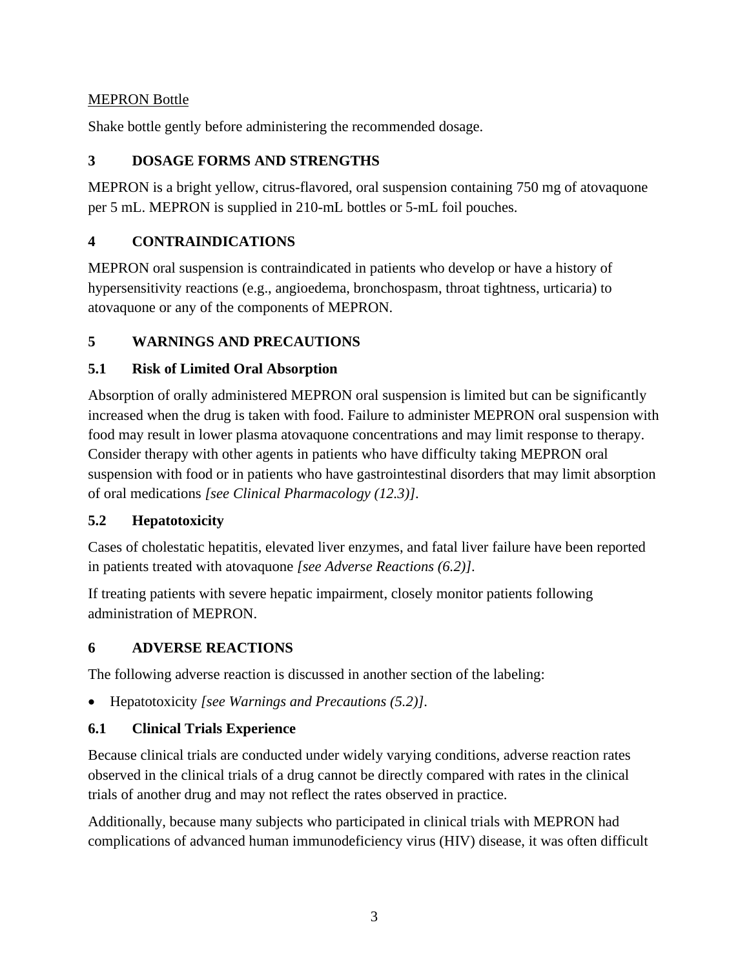## MEPRON Bottle

<span id="page-2-0"></span>Shake bottle gently before administering the recommended dosage.

## **3 DOSAGE FORMS AND STRENGTHS**

MEPRON is a bright yellow, citrus-flavored, oral suspension containing 750 mg of atovaquone per 5 mL. MEPRON is supplied in 210-mL bottles or 5-mL foil pouches.

## <span id="page-2-1"></span>**4 CONTRAINDICATIONS**

MEPRON oral suspension is contraindicated in patients who develop or have a history of hypersensitivity reactions (e.g., angioedema, bronchospasm, throat tightness, urticaria) to atovaquone or any of the components of MEPRON.

## <span id="page-2-2"></span>**5 WARNINGS AND PRECAUTIONS**

## <span id="page-2-3"></span>**5.1 Risk of Limited Oral Absorption**

Absorption of orally administered MEPRON oral suspension is limited but can be significantly increased when the drug is taken with food. Failure to administer MEPRON oral suspension with food may result in lower plasma atovaquone concentrations and may limit response to therapy. Consider therapy with other agents in patients who have difficulty taking MEPRON oral suspension with food or in patients who have gastrointestinal disorders that may limit absorption of oral medications *[see Clinical Pharmacology (12.3)]*.

## <span id="page-2-4"></span>**5.2 Hepatotoxicity**

Cases of cholestatic hepatitis, elevated liver enzymes, and fatal liver failure have been reported in patients treated with atovaquone *[see Adverse Reactions (6.2)]*.

If treating patients with severe hepatic impairment, closely monitor patients following administration of MEPRON.

## <span id="page-2-5"></span>**6 ADVERSE REACTIONS**

The following adverse reaction is discussed in another section of the labeling:

• Hepatotoxicity *[see Warnings and Precautions (5.2)]*.

## <span id="page-2-6"></span>**6.1 Clinical Trials Experience**

Because clinical trials are conducted under widely varying conditions, adverse reaction rates observed in the clinical trials of a drug cannot be directly compared with rates in the clinical trials of another drug and may not reflect the rates observed in practice.

Additionally, because many subjects who participated in clinical trials with MEPRON had complications of advanced human immunodeficiency virus (HIV) disease, it was often difficult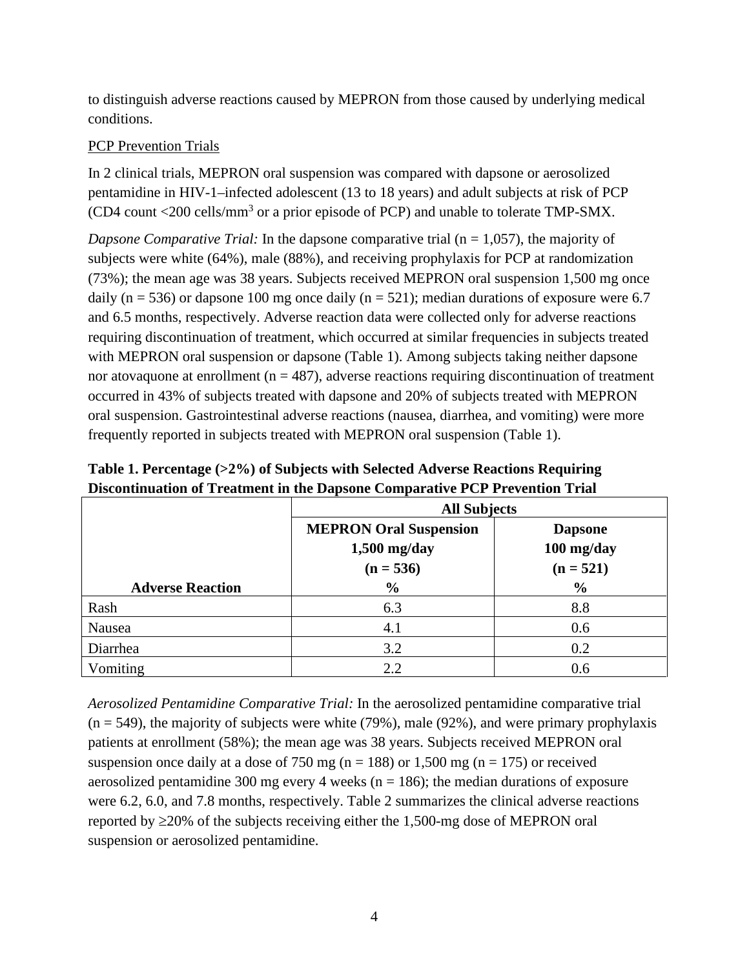to distinguish adverse reactions caused by MEPRON from those caused by underlying medical conditions.

#### PCP Prevention Trials

In 2 clinical trials, MEPRON oral suspension was compared with dapsone or aerosolized pentamidine in HIV-1–infected adolescent (13 to 18 years) and adult subjects at risk of PCP (CD4 count  $\langle 200 \text{ cells/mm}^3$  or a prior episode of PCP) and unable to tolerate TMP-SMX.

*Dapsone Comparative Trial:* In the dapsone comparative trial (n = 1,057), the majority of subjects were white (64%), male (88%), and receiving prophylaxis for PCP at randomization (73%); the mean age was 38 years. Subjects received MEPRON oral suspension 1,500 mg once daily (n = 536) or dapsone 100 mg once daily (n = 521); median durations of exposure were 6.7 and 6.5 months, respectively. Adverse reaction data were collected only for adverse reactions requiring discontinuation of treatment, which occurred at similar frequencies in subjects treated with MEPRON oral suspension or dapsone (Table 1). Among subjects taking neither dapsone nor atovaquone at enrollment ( $n = 487$ ), adverse reactions requiring discontinuation of treatment occurred in 43% of subjects treated with dapsone and 20% of subjects treated with MEPRON oral suspension. Gastrointestinal adverse reactions (nausea, diarrhea, and vomiting) were more frequently reported in subjects treated with MEPRON oral suspension (Table 1).

|                         | <b>All Subjects</b>                                            |                                             |  |  |  |
|-------------------------|----------------------------------------------------------------|---------------------------------------------|--|--|--|
|                         | <b>MEPRON Oral Suspension</b><br>$1,500$ mg/day<br>$(n = 536)$ | <b>Dapsone</b><br>100 mg/day<br>$(n = 521)$ |  |  |  |
| <b>Adverse Reaction</b> | $\frac{0}{0}$                                                  | $\frac{0}{0}$                               |  |  |  |
| Rash                    | 6.3                                                            | 8.8                                         |  |  |  |
| Nausea                  | 4.1                                                            | 0.6                                         |  |  |  |
| Diarrhea                | 3.2                                                            | 0.2                                         |  |  |  |
| Vomiting                | 2.2                                                            | 0.6                                         |  |  |  |

**Table 1. Percentage (>2%) of Subjects with Selected Adverse Reactions Requiring Discontinuation of Treatment in the Dapsone Comparative PCP Prevention Trial**

*Aerosolized Pentamidine Comparative Trial:* In the aerosolized pentamidine comparative trial  $(n = 549)$ , the majority of subjects were white (79%), male (92%), and were primary prophylaxis patients at enrollment (58%); the mean age was 38 years. Subjects received MEPRON oral suspension once daily at a dose of 750 mg ( $n = 188$ ) or 1,500 mg ( $n = 175$ ) or received aerosolized pentamidine 300 mg every 4 weeks ( $n = 186$ ); the median durations of exposure were 6.2, 6.0, and 7.8 months, respectively. Table 2 summarizes the clinical adverse reactions reported by ≥20% of the subjects receiving either the 1,500-mg dose of MEPRON oral suspension or aerosolized pentamidine.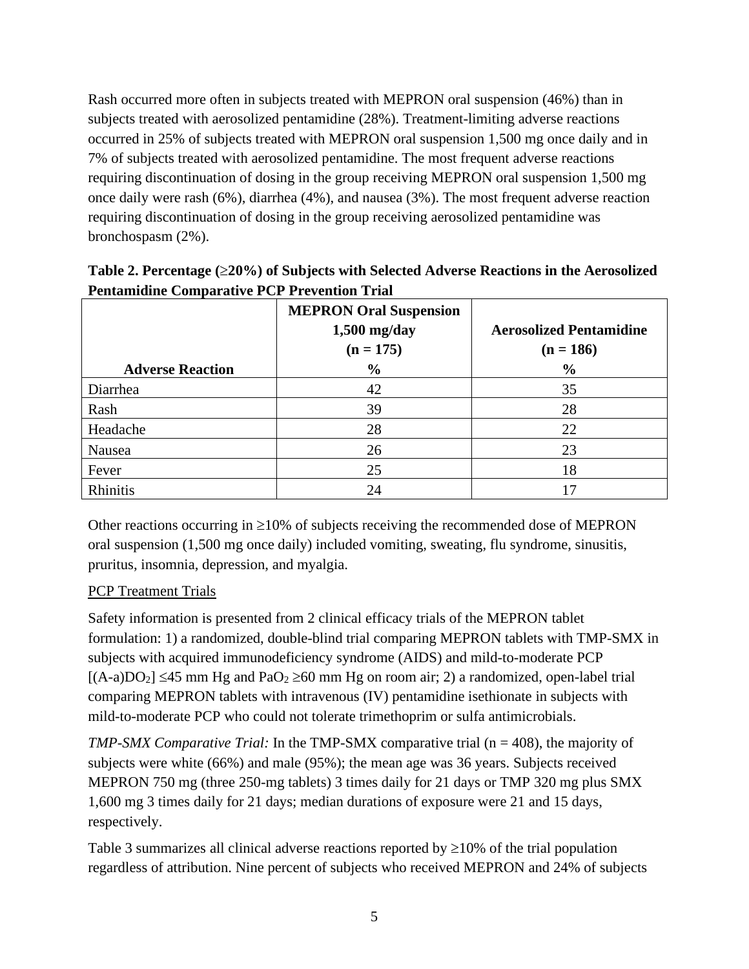Rash occurred more often in subjects treated with MEPRON oral suspension (46%) than in subjects treated with aerosolized pentamidine (28%). Treatment-limiting adverse reactions occurred in 25% of subjects treated with MEPRON oral suspension 1,500 mg once daily and in 7% of subjects treated with aerosolized pentamidine. The most frequent adverse reactions requiring discontinuation of dosing in the group receiving MEPRON oral suspension 1,500 mg once daily were rash (6%), diarrhea (4%), and nausea (3%). The most frequent adverse reaction requiring discontinuation of dosing in the group receiving aerosolized pentamidine was bronchospasm (2%).

|                         | <b>MEPRON Oral Suspension</b><br>$1,500$ mg/day<br>$(n = 175)$ | <b>Aerosolized Pentamidine</b><br>$(n = 186)$ |
|-------------------------|----------------------------------------------------------------|-----------------------------------------------|
| <b>Adverse Reaction</b> | $\frac{0}{0}$                                                  | $\frac{6}{6}$                                 |
| Diarrhea                | 42                                                             | 35                                            |
| Rash                    | 39                                                             | 28                                            |
| Headache                | 28                                                             | 22                                            |
| Nausea                  | 26                                                             | 23                                            |
| Fever                   | 25                                                             | 18                                            |
| Rhinitis                | 24                                                             | 17                                            |

**Table 2. Percentage (**≥**20%) of Subjects with Selected Adverse Reactions in the Aerosolized Pentamidine Comparative PCP Prevention Trial**

Other reactions occurring in  $\geq 10\%$  of subjects receiving the recommended dose of MEPRON oral suspension (1,500 mg once daily) included vomiting, sweating, flu syndrome, sinusitis, pruritus, insomnia, depression, and myalgia.

## PCP Treatment Trials

Safety information is presented from 2 clinical efficacy trials of the MEPRON tablet formulation: 1) a randomized, double-blind trial comparing MEPRON tablets with TMP-SMX in subjects with acquired immunodeficiency syndrome (AIDS) and mild-to-moderate PCP  $[(A-a)DO<sub>2</sub>] \le 45$  mm Hg and PaO<sub>2</sub>  $\ge 60$  mm Hg on room air; 2) a randomized, open-label trial comparing MEPRON tablets with intravenous (IV) pentamidine isethionate in subjects with mild-to-moderate PCP who could not tolerate trimethoprim or sulfa antimicrobials.

*TMP-SMX Comparative Trial:* In the TMP-SMX comparative trial (n = 408), the majority of subjects were white (66%) and male (95%); the mean age was 36 years. Subjects received MEPRON 750 mg (three 250-mg tablets) 3 times daily for 21 days or TMP 320 mg plus SMX 1,600 mg 3 times daily for 21 days; median durations of exposure were 21 and 15 days, respectively.

Table 3 summarizes all clinical adverse reactions reported by  $\geq$ 10% of the trial population regardless of attribution. Nine percent of subjects who received MEPRON and 24% of subjects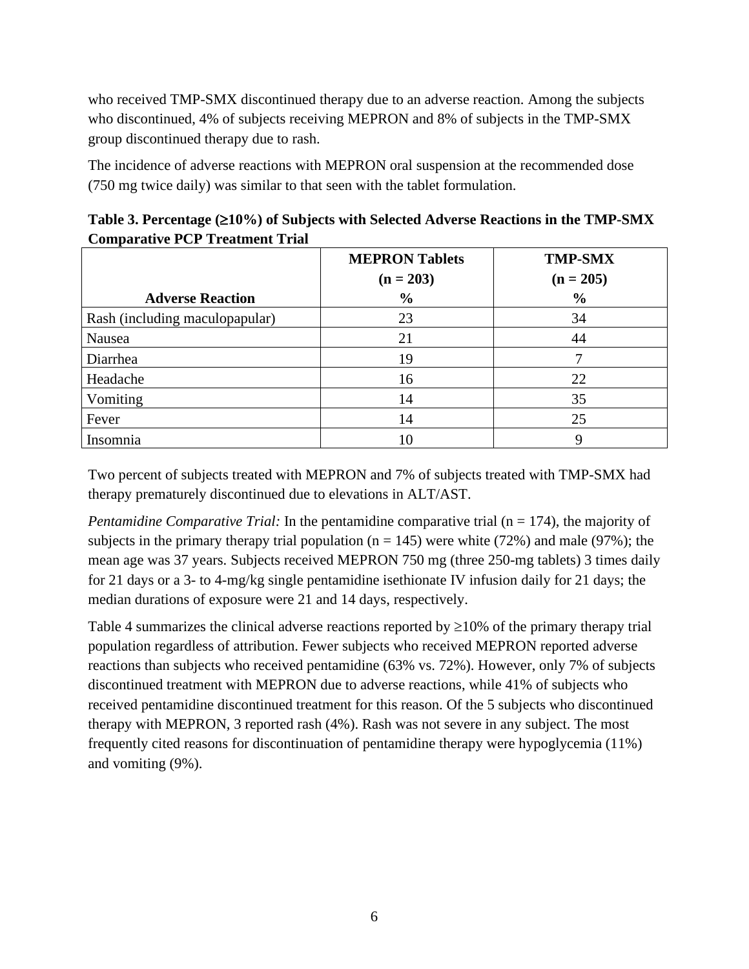who received TMP-SMX discontinued therapy due to an adverse reaction. Among the subjects who discontinued, 4% of subjects receiving MEPRON and 8% of subjects in the TMP-SMX group discontinued therapy due to rash.

The incidence of adverse reactions with MEPRON oral suspension at the recommended dose (750 mg twice daily) was similar to that seen with the tablet formulation.

| Table 3. Percentage $(\geq 10\%)$ of Subjects with Selected Adverse Reactions in the TMP-SMX |
|----------------------------------------------------------------------------------------------|
| <b>Comparative PCP Treatment Trial</b>                                                       |

|                                | <b>MEPRON Tablets</b><br>$(n = 203)$ | <b>TMP-SMX</b><br>$(n = 205)$ |  |  |
|--------------------------------|--------------------------------------|-------------------------------|--|--|
| <b>Adverse Reaction</b>        | $\frac{0}{0}$                        | $\frac{0}{0}$                 |  |  |
| Rash (including maculopapular) | 23                                   | 34                            |  |  |
| Nausea                         | 21                                   | 44                            |  |  |
| Diarrhea                       | 19                                   |                               |  |  |
| Headache                       | 16                                   | 22                            |  |  |
| Vomiting                       | 14                                   | 35                            |  |  |
| Fever                          | 14                                   | 25                            |  |  |
| Insomnia                       | 10                                   | Q                             |  |  |

Two percent of subjects treated with MEPRON and 7% of subjects treated with TMP-SMX had therapy prematurely discontinued due to elevations in ALT/AST.

*Pentamidine Comparative Trial:* In the pentamidine comparative trial (n = 174), the majority of subjects in the primary therapy trial population ( $n = 145$ ) were white (72%) and male (97%); the mean age was 37 years. Subjects received MEPRON 750 mg (three 250-mg tablets) 3 times daily for 21 days or a 3- to 4-mg/kg single pentamidine isethionate IV infusion daily for 21 days; the median durations of exposure were 21 and 14 days, respectively.

Table 4 summarizes the clinical adverse reactions reported by  $\geq 10\%$  of the primary therapy trial population regardless of attribution. Fewer subjects who received MEPRON reported adverse reactions than subjects who received pentamidine (63% vs. 72%). However, only 7% of subjects discontinued treatment with MEPRON due to adverse reactions, while 41% of subjects who received pentamidine discontinued treatment for this reason. Of the 5 subjects who discontinued therapy with MEPRON, 3 reported rash (4%). Rash was not severe in any subject. The most frequently cited reasons for discontinuation of pentamidine therapy were hypoglycemia (11%) and vomiting (9%).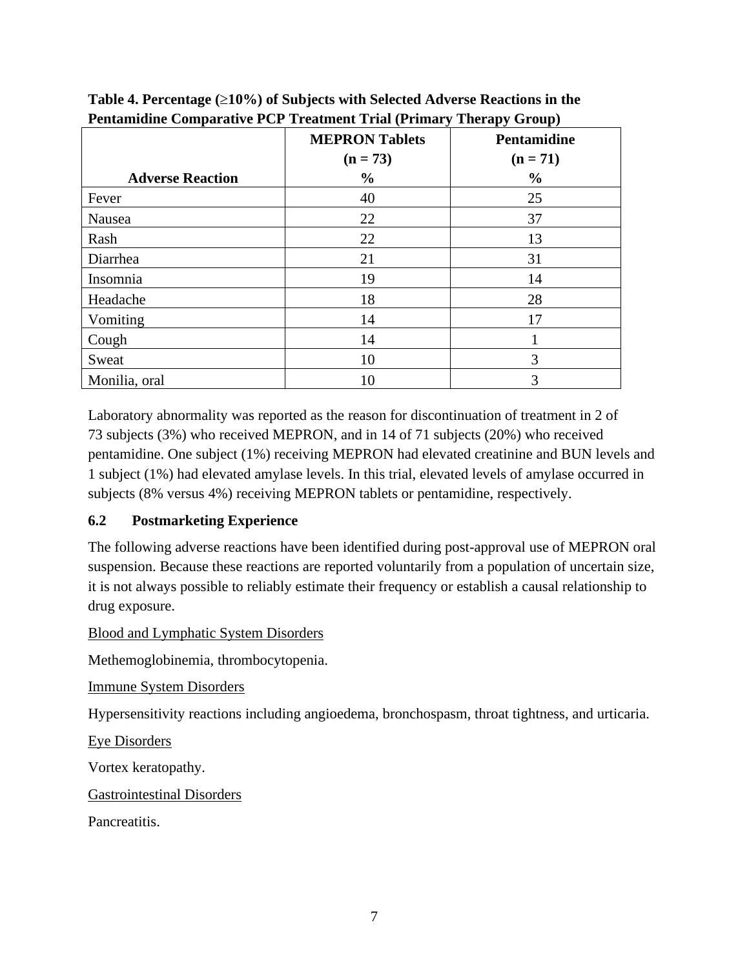|                         | $\lambda$ - $\lambda$ - $\lambda$ - $\lambda$ $\lambda$<br>~г.<br>$\sim$ $\sim$ $\sim$ $\sim$ $\sim$ $\sim$ $\sim$ $\sim$ |                                  |  |  |  |  |
|-------------------------|---------------------------------------------------------------------------------------------------------------------------|----------------------------------|--|--|--|--|
|                         | <b>MEPRON Tablets</b><br>$(n = 73)$                                                                                       | <b>Pentamidine</b><br>$(n = 71)$ |  |  |  |  |
| <b>Adverse Reaction</b> | $\frac{0}{0}$                                                                                                             | $\frac{0}{0}$                    |  |  |  |  |
| Fever                   | 40                                                                                                                        | 25                               |  |  |  |  |
| Nausea                  | 22                                                                                                                        | 37                               |  |  |  |  |
| Rash                    | 22                                                                                                                        | 13                               |  |  |  |  |
| Diarrhea                | 21                                                                                                                        | 31                               |  |  |  |  |
| Insomnia                | 19                                                                                                                        | 14                               |  |  |  |  |
| Headache                | 18                                                                                                                        | 28                               |  |  |  |  |
| Vomiting                | 14                                                                                                                        | 17                               |  |  |  |  |
| Cough                   | 14                                                                                                                        |                                  |  |  |  |  |
| Sweat                   | 10                                                                                                                        | 3                                |  |  |  |  |
| Monilia, oral           | 10                                                                                                                        | 3                                |  |  |  |  |

**Table 4. Percentage (**≥**10%) of Subjects with Selected Adverse Reactions in the Pentamidine Comparative PCP Treatment Trial (Primary Therapy Group)**

Laboratory abnormality was reported as the reason for discontinuation of treatment in 2 of 73 subjects (3%) who received MEPRON, and in 14 of 71 subjects (20%) who received pentamidine. One subject (1%) receiving MEPRON had elevated creatinine and BUN levels and 1 subject (1%) had elevated amylase levels. In this trial, elevated levels of amylase occurred in subjects (8% versus 4%) receiving MEPRON tablets or pentamidine, respectively.

## <span id="page-6-0"></span>**6.2 Postmarketing Experience**

The following adverse reactions have been identified during post-approval use of MEPRON oral suspension. Because these reactions are reported voluntarily from a population of uncertain size, it is not always possible to reliably estimate their frequency or establish a causal relationship to drug exposure.

Blood and Lymphatic System Disorders

Methemoglobinemia, thrombocytopenia.

Immune System Disorders

Hypersensitivity reactions including angioedema, bronchospasm, throat tightness, and urticaria.

Eye Disorders

Vortex keratopathy.

Gastrointestinal Disorders

Pancreatitis.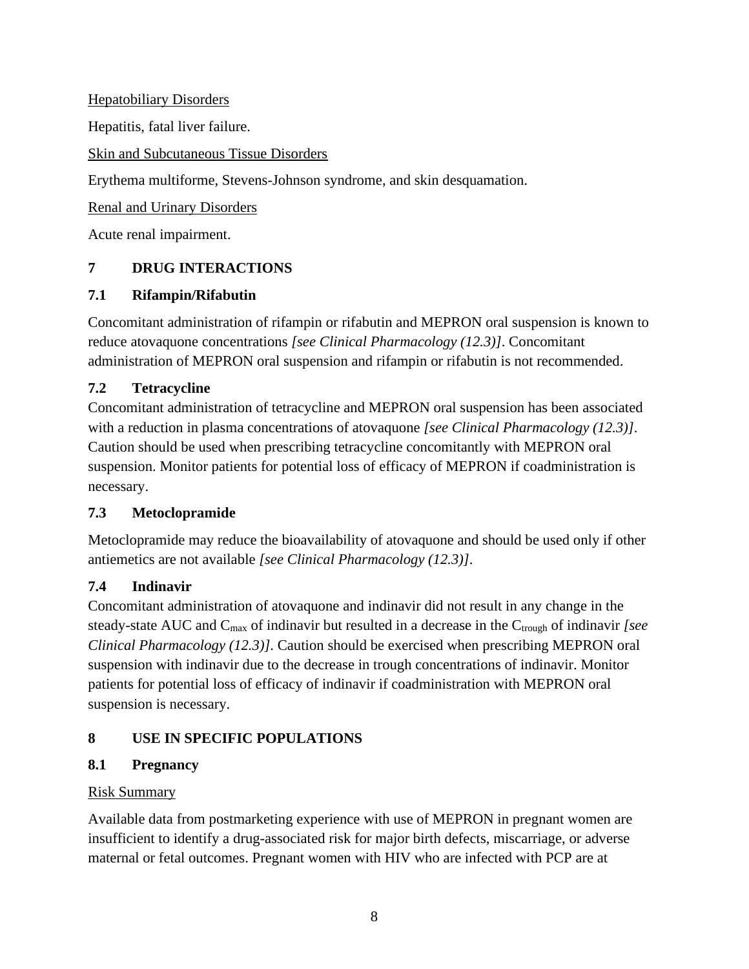Hepatobiliary Disorders Hepatitis, fatal liver failure.

Skin and Subcutaneous Tissue Disorders

Erythema multiforme, Stevens-Johnson syndrome, and skin desquamation.

Renal and Urinary Disorders

<span id="page-7-0"></span>Acute renal impairment.

# **7 DRUG INTERACTIONS**

## <span id="page-7-1"></span>**7.1 Rifampin/Rifabutin**

Concomitant administration of rifampin or rifabutin and MEPRON oral suspension is known to reduce atovaquone concentrations *[see Clinical Pharmacology (12.3)]*. Concomitant administration of MEPRON oral suspension and rifampin or rifabutin is not recommended.

## <span id="page-7-2"></span>**7.2 Tetracycline**

Concomitant administration of tetracycline and MEPRON oral suspension has been associated with a reduction in plasma concentrations of atovaquone *[see Clinical Pharmacology (12.3)]*. Caution should be used when prescribing tetracycline concomitantly with MEPRON oral suspension. Monitor patients for potential loss of efficacy of MEPRON if coadministration is necessary.

## <span id="page-7-3"></span>**7.3 Metoclopramide**

Metoclopramide may reduce the bioavailability of atovaquone and should be used only if other antiemetics are not available *[see Clinical Pharmacology (12.3)]*.

## <span id="page-7-4"></span>**7.4 Indinavir**

Concomitant administration of atovaquone and indinavir did not result in any change in the steady-state AUC and C<sub>max</sub> of indinavir but resulted in a decrease in the C<sub>trough</sub> of indinavir *[see Clinical Pharmacology (12.3)]*. Caution should be exercised when prescribing MEPRON oral suspension with indinavir due to the decrease in trough concentrations of indinavir. Monitor patients for potential loss of efficacy of indinavir if coadministration with MEPRON oral suspension is necessary.

# <span id="page-7-5"></span>**8 USE IN SPECIFIC POPULATIONS**

# <span id="page-7-6"></span>**8.1 Pregnancy**

## Risk Summary

Available data from postmarketing experience with use of MEPRON in pregnant women are insufficient to identify a drug-associated risk for major birth defects, miscarriage, or adverse maternal or fetal outcomes. Pregnant women with HIV who are infected with PCP are at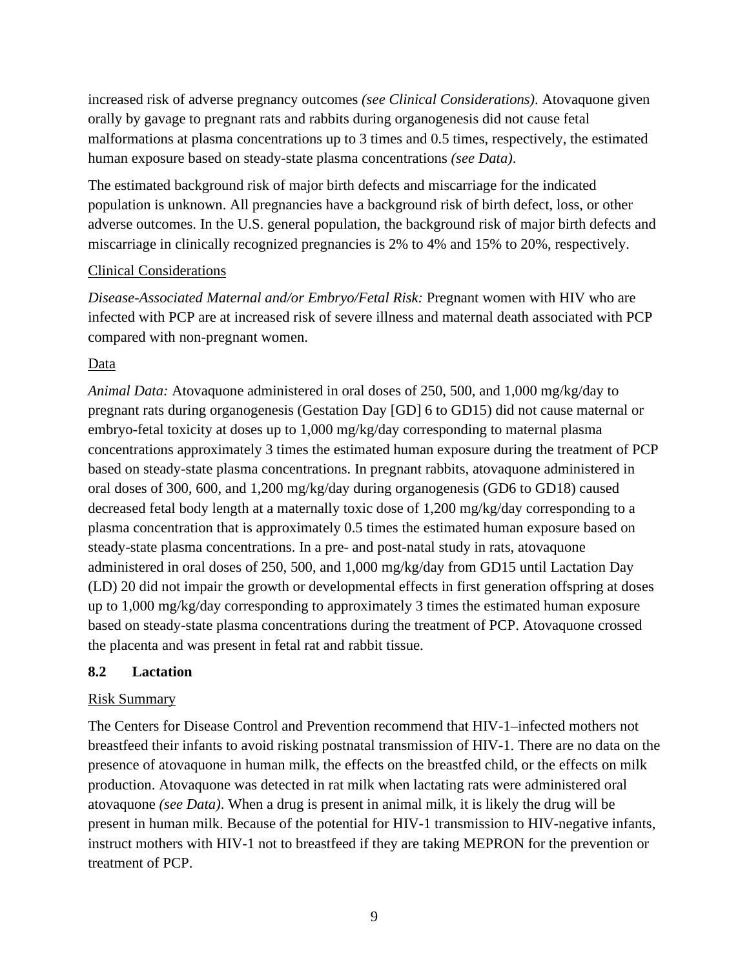increased risk of adverse pregnancy outcomes *(see Clinical Considerations)*. Atovaquone given orally by gavage to pregnant rats and rabbits during organogenesis did not cause fetal malformations at plasma concentrations up to 3 times and 0.5 times, respectively, the estimated human exposure based on steady-state plasma concentrations *(see Data)*.

The estimated background risk of major birth defects and miscarriage for the indicated population is unknown. All pregnancies have a background risk of birth defect, loss, or other adverse outcomes. In the U.S. general population, the background risk of major birth defects and miscarriage in clinically recognized pregnancies is 2% to 4% and 15% to 20%, respectively.

### Clinical Considerations

*Disease-Associated Maternal and/or Embryo/Fetal Risk:* Pregnant women with HIV who are infected with PCP are at increased risk of severe illness and maternal death associated with PCP compared with non-pregnant women.

### Data

*Animal Data:* Atovaquone administered in oral doses of 250, 500, and 1,000 mg/kg/day to pregnant rats during organogenesis (Gestation Day [GD] 6 to GD15) did not cause maternal or embryo-fetal toxicity at doses up to 1,000 mg/kg/day corresponding to maternal plasma concentrations approximately 3 times the estimated human exposure during the treatment of PCP based on steady-state plasma concentrations. In pregnant rabbits, atovaquone administered in oral doses of 300, 600, and 1,200 mg/kg/day during organogenesis (GD6 to GD18) caused decreased fetal body length at a maternally toxic dose of 1,200 mg/kg/day corresponding to a plasma concentration that is approximately 0.5 times the estimated human exposure based on steady-state plasma concentrations. In a pre- and post-natal study in rats, atovaquone administered in oral doses of 250, 500, and 1,000 mg/kg/day from GD15 until Lactation Day (LD) 20 did not impair the growth or developmental effects in first generation offspring at doses up to 1,000 mg/kg/day corresponding to approximately 3 times the estimated human exposure based on steady-state plasma concentrations during the treatment of PCP. Atovaquone crossed the placenta and was present in fetal rat and rabbit tissue.

## <span id="page-8-0"></span>**8.2 Lactation**

## Risk Summary

The Centers for Disease Control and Prevention recommend that HIV-1–infected mothers not breastfeed their infants to avoid risking postnatal transmission of HIV-1. There are no data on the presence of atovaquone in human milk, the effects on the breastfed child, or the effects on milk production. Atovaquone was detected in rat milk when lactating rats were administered oral atovaquone *(see Data)*. When a drug is present in animal milk, it is likely the drug will be present in human milk. Because of the potential for HIV-1 transmission to HIV-negative infants, instruct mothers with HIV-1 not to breastfeed if they are taking MEPRON for the prevention or treatment of PCP.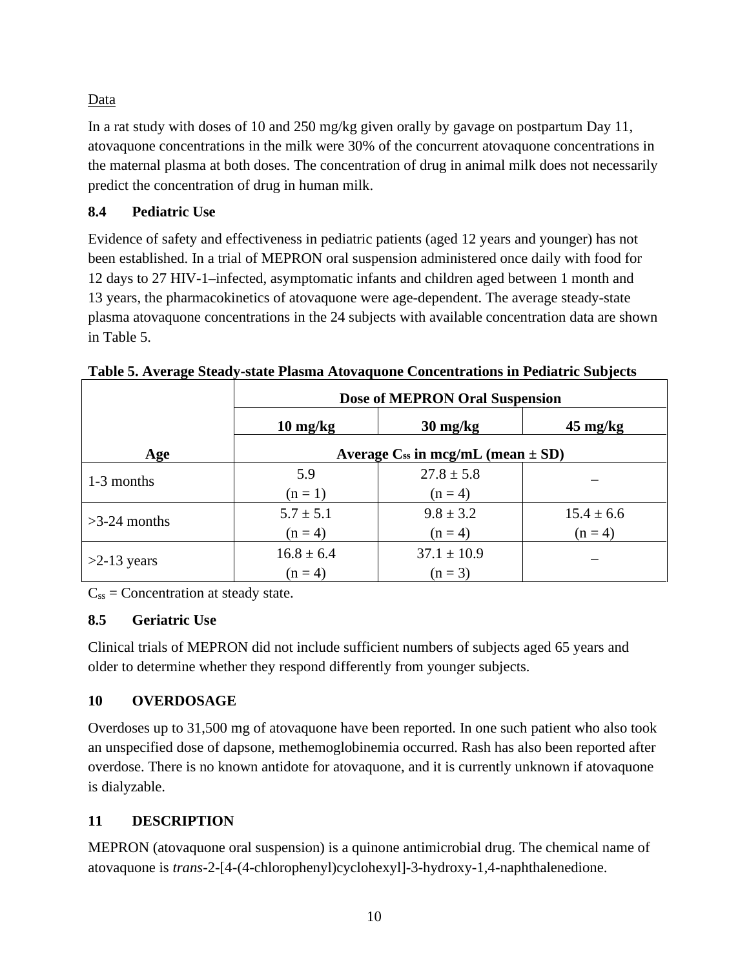## Data

In a rat study with doses of 10 and 250 mg/kg given orally by gavage on postpartum Day 11, atovaquone concentrations in the milk were 30% of the concurrent atovaquone concentrations in the maternal plasma at both doses. The concentration of drug in animal milk does not necessarily predict the concentration of drug in human milk.

## <span id="page-9-0"></span>**8.4 Pediatric Use**

Evidence of safety and effectiveness in pediatric patients (aged 12 years and younger) has not been established. In a trial of MEPRON oral suspension administered once daily with food for 12 days to 27 HIV-1–infected, asymptomatic infants and children aged between 1 month and 13 years, the pharmacokinetics of atovaquone were age-dependent. The average steady-state plasma atovaquone concentrations in the 24 subjects with available concentration data are shown in Table 5.

|                | Dose of MEPRON Oral Suspension             |                                  |                    |  |  |  |
|----------------|--------------------------------------------|----------------------------------|--------------------|--|--|--|
|                | $10 \frac{\text{mg}}{\text{kg}}$           | $30 \frac{\text{mg}}{\text{kg}}$ | $45 \text{ mg/kg}$ |  |  |  |
| Age            | Average $C_{ss}$ in mcg/mL (mean $\pm$ SD) |                                  |                    |  |  |  |
| 1-3 months     | 5.9                                        | $27.8 \pm 5.8$                   |                    |  |  |  |
|                | $(n=1)$                                    | $(n = 4)$                        |                    |  |  |  |
| $>3-24$ months | $5.7 \pm 5.1$                              | $9.8 \pm 3.2$                    | $15.4 \pm 6.6$     |  |  |  |
|                | $(n = 4)$                                  | $(n = 4)$                        | $(n=4)$            |  |  |  |
| $>2-13$ years  | $16.8 \pm 6.4$                             | $37.1 \pm 10.9$                  |                    |  |  |  |
|                | $(n = 4)$                                  | $(n = 3)$                        |                    |  |  |  |

**Table 5. Average Steady-state Plasma Atovaquone Concentrations in Pediatric Subjects**

 $C_{ss}$  = Concentration at steady state.

## <span id="page-9-1"></span>**8.5 Geriatric Use**

Clinical trials of MEPRON did not include sufficient numbers of subjects aged 65 years and older to determine whether they respond differently from younger subjects.

# <span id="page-9-2"></span>**10 OVERDOSAGE**

Overdoses up to 31,500 mg of atovaquone have been reported. In one such patient who also took an unspecified dose of dapsone, methemoglobinemia occurred. Rash has also been reported after overdose. There is no known antidote for atovaquone, and it is currently unknown if atovaquone is dialyzable.

# <span id="page-9-3"></span>**11 DESCRIPTION**

MEPRON (atovaquone oral suspension) is a quinone antimicrobial drug. The chemical name of atovaquone is *trans*-2-[4-(4-chlorophenyl)cyclohexyl]-3-hydroxy-1,4-naphthalenedione.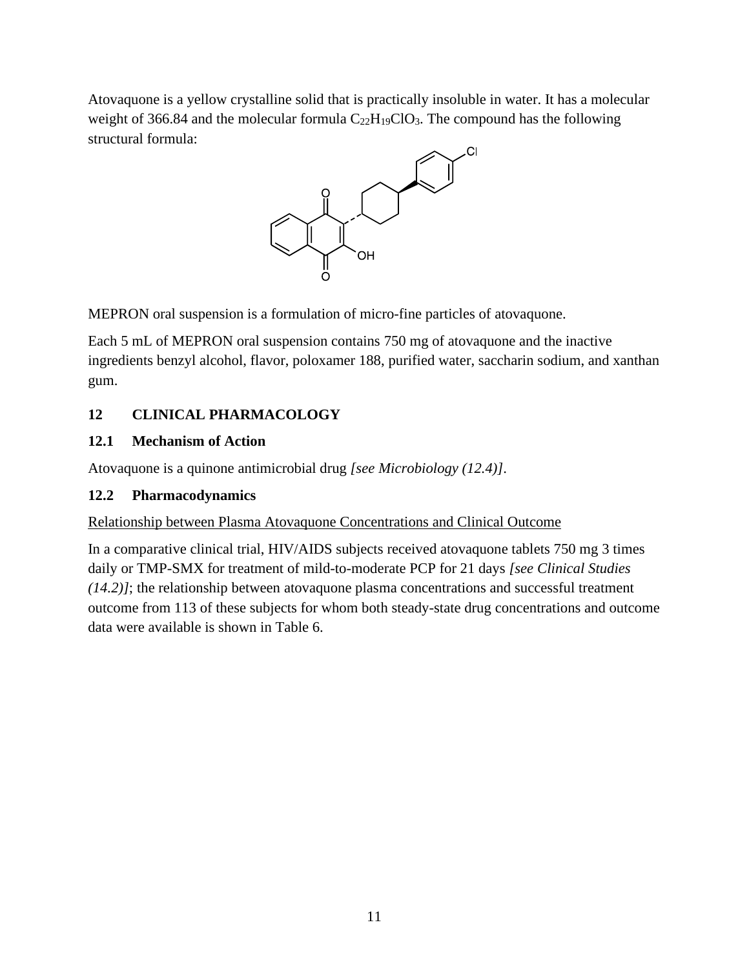Atovaquone is a yellow crystalline solid that is practically insoluble in water. It has a molecular weight of 366.84 and the molecular formula  $C_{22}H_{19}ClO_3$ . The compound has the following structural formula:



MEPRON oral suspension is a formulation of micro-fine particles of atovaquone.

Each 5 mL of MEPRON oral suspension contains 750 mg of atovaquone and the inactive ingredients benzyl alcohol, flavor, poloxamer 188, purified water, saccharin sodium, and xanthan gum.

## <span id="page-10-0"></span>**12 CLINICAL PHARMACOLOGY**

## <span id="page-10-1"></span>**12.1 Mechanism of Action**

Atovaquone is a quinone antimicrobial drug *[see Microbiology (12.4)]*.

## <span id="page-10-2"></span>**12.2 Pharmacodynamics**

## Relationship between Plasma Atovaquone Concentrations and Clinical Outcome

In a comparative clinical trial, HIV/AIDS subjects received atovaquone tablets 750 mg 3 times daily or TMP-SMX for treatment of mild-to-moderate PCP for 21 days *[see Clinical Studies (14.2)]*; the relationship between atovaquone plasma concentrations and successful treatment outcome from 113 of these subjects for whom both steady-state drug concentrations and outcome data were available is shown in Table 6.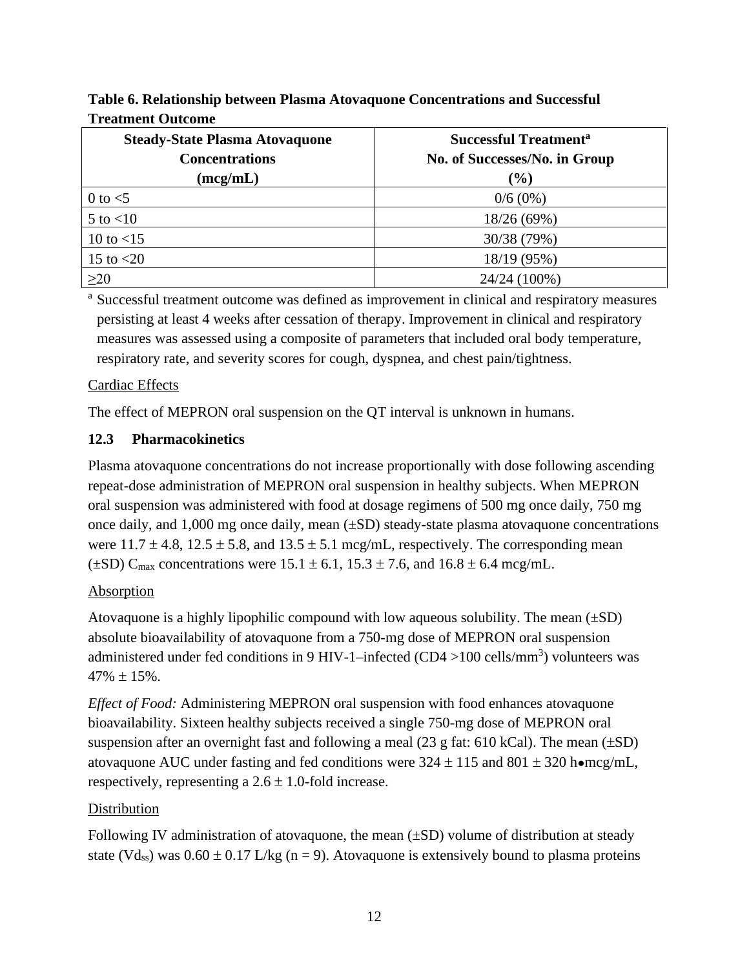| <b>Steady-State Plasma Atovaquone</b> | <b>Successful Treatment<sup>a</sup></b> |  |  |  |
|---------------------------------------|-----------------------------------------|--|--|--|
| <b>Concentrations</b>                 | No. of Successes/No. in Group           |  |  |  |
| (mcg/mL)                              | $(\%)$                                  |  |  |  |
| 0 to $<$ 5                            | $0/6(0\%)$                              |  |  |  |
| $5$ to $<$ 10                         | 18/26 (69%)                             |  |  |  |
| 10 to $<$ 15                          | 30/38 (79%)                             |  |  |  |
| 15 to $<$ 20                          | 18/19 (95%)                             |  |  |  |
| $\geq$ 20                             | 24/24 (100%)                            |  |  |  |

**Table 6. Relationship between Plasma Atovaquone Concentrations and Successful Treatment Outcome**

<sup>a</sup> Successful treatment outcome was defined as improvement in clinical and respiratory measures persisting at least 4 weeks after cessation of therapy. Improvement in clinical and respiratory measures was assessed using a composite of parameters that included oral body temperature, respiratory rate, and severity scores for cough, dyspnea, and chest pain/tightness.

### Cardiac Effects

The effect of MEPRON oral suspension on the QT interval is unknown in humans.

### <span id="page-11-0"></span>**12.3 Pharmacokinetics**

Plasma atovaquone concentrations do not increase proportionally with dose following ascending repeat-dose administration of MEPRON oral suspension in healthy subjects. When MEPRON oral suspension was administered with food at dosage regimens of 500 mg once daily, 750 mg once daily, and 1,000 mg once daily, mean (±SD) steady-state plasma atovaquone concentrations were  $11.7 \pm 4.8$ ,  $12.5 \pm 5.8$ , and  $13.5 \pm 5.1$  mcg/mL, respectively. The corresponding mean  $(\pm SD)$  C<sub>max</sub> concentrations were  $15.1 \pm 6.1$ ,  $15.3 \pm 7.6$ , and  $16.8 \pm 6.4$  mcg/mL.

#### Absorption

Atovaquone is a highly lipophilic compound with low aqueous solubility. The mean  $(\pm SD)$ absolute bioavailability of atovaquone from a 750-mg dose of MEPRON oral suspension administered under fed conditions in 9 HIV-1–infected (CD4 > 100 cells/mm<sup>3</sup>) volunteers was  $47\% + 15\%$ 

*Effect of Food:* Administering MEPRON oral suspension with food enhances atovaquone bioavailability. Sixteen healthy subjects received a single 750-mg dose of MEPRON oral suspension after an overnight fast and following a meal  $(23 \text{ g fat: } 610 \text{ kCal})$ . The mean  $(\pm SD)$ atovaquone AUC under fasting and fed conditions were  $324 \pm 115$  and  $801 \pm 320$  homcg/mL, respectively, representing a  $2.6 \pm 1.0$ -fold increase.

## **Distribution**

Following IV administration of atovaquone, the mean  $(\pm SD)$  volume of distribution at steady state (Vd<sub>ss</sub>) was  $0.60 \pm 0.17$  L/kg (n = 9). Atovaguone is extensively bound to plasma proteins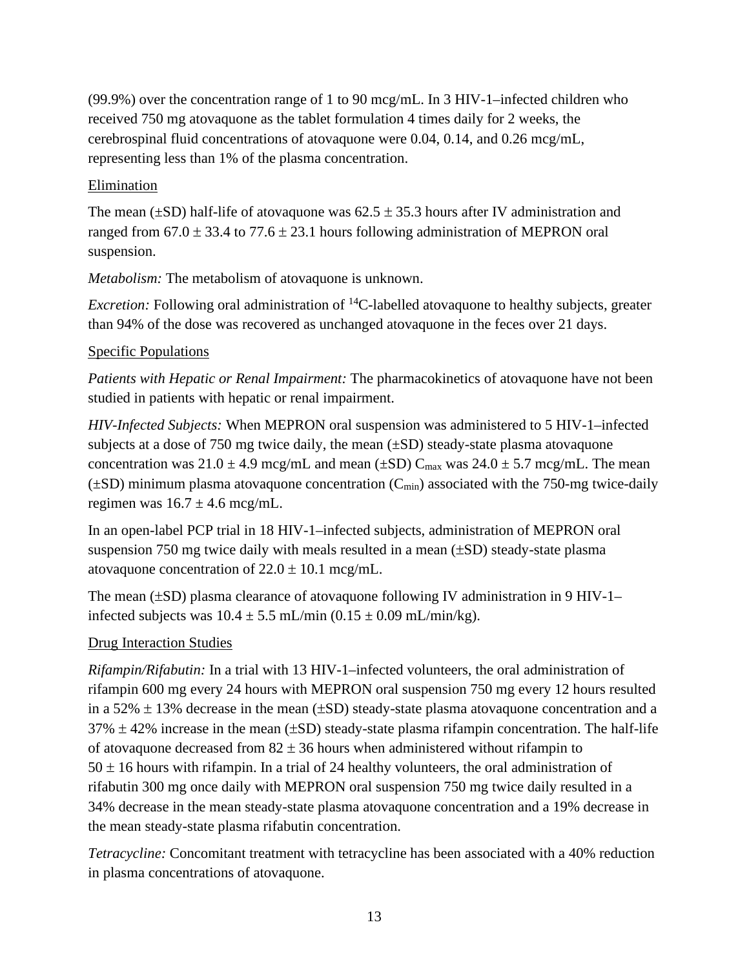(99.9%) over the concentration range of 1 to 90 mcg/mL. In 3 HIV-1–infected children who received 750 mg atovaquone as the tablet formulation 4 times daily for 2 weeks, the cerebrospinal fluid concentrations of atovaquone were 0.04, 0.14, and 0.26 mcg/mL, representing less than 1% of the plasma concentration.

### **Elimination**

The mean ( $\pm$ SD) half-life of atovaquone was 62.5  $\pm$  35.3 hours after IV administration and ranged from  $67.0 \pm 33.4$  to  $77.6 \pm 23.1$  hours following administration of MEPRON oral suspension.

*Metabolism:* The metabolism of atovaquone is unknown.

*Excretion:* Following oral administration of <sup>14</sup>C-labelled atovaguone to healthy subjects, greater than 94% of the dose was recovered as unchanged atovaquone in the feces over 21 days.

### Specific Populations

*Patients with Hepatic or Renal Impairment:* The pharmacokinetics of atovaquone have not been studied in patients with hepatic or renal impairment.

*HIV-Infected Subjects:* When MEPRON oral suspension was administered to 5 HIV-1–infected subjects at a dose of 750 mg twice daily, the mean  $(\pm SD)$  steady-state plasma atovaquone concentration was  $21.0 \pm 4.9$  mcg/mL and mean ( $\pm SD$ ) C<sub>max</sub> was  $24.0 \pm 5.7$  mcg/mL. The mean  $(\pm SD)$  minimum plasma atovaquone concentration  $(C_{min})$  associated with the 750-mg twice-daily regimen was  $16.7 \pm 4.6$  mcg/mL.

In an open-label PCP trial in 18 HIV-1–infected subjects, administration of MEPRON oral suspension 750 mg twice daily with meals resulted in a mean  $(\pm SD)$  steady-state plasma atovaquone concentration of  $22.0 \pm 10.1$  mcg/mL.

The mean (±SD) plasma clearance of atovaquone following IV administration in 9 HIV-1– infected subjects was  $10.4 \pm 5.5$  mL/min  $(0.15 \pm 0.09$  mL/min/kg).

## Drug Interaction Studies

*Rifampin/Rifabutin:* In a trial with 13 HIV-1–infected volunteers, the oral administration of rifampin 600 mg every 24 hours with MEPRON oral suspension 750 mg every 12 hours resulted in a 52%  $\pm$  13% decrease in the mean ( $\pm$ SD) steady-state plasma atovaquone concentration and a  $37\% \pm 42\%$  increase in the mean ( $\pm SD$ ) steady-state plasma rifampin concentration. The half-life of atovaquone decreased from  $82 \pm 36$  hours when administered without rifampin to  $50 \pm 16$  hours with rifampin. In a trial of 24 healthy volunteers, the oral administration of rifabutin 300 mg once daily with MEPRON oral suspension 750 mg twice daily resulted in a 34% decrease in the mean steady-state plasma atovaquone concentration and a 19% decrease in the mean steady-state plasma rifabutin concentration.

*Tetracycline:* Concomitant treatment with tetracycline has been associated with a 40% reduction in plasma concentrations of atovaquone.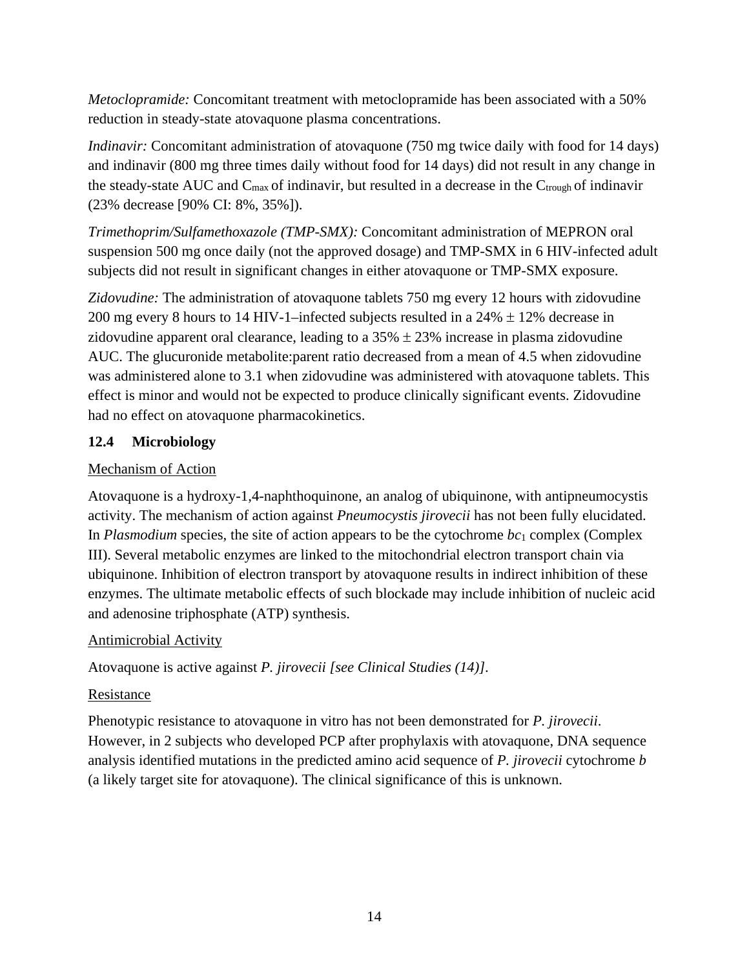*Metoclopramide:* Concomitant treatment with metoclopramide has been associated with a 50% reduction in steady-state atovaquone plasma concentrations.

*Indinavir:* Concomitant administration of atovaquone (750 mg twice daily with food for 14 days) and indinavir (800 mg three times daily without food for 14 days) did not result in any change in the steady-state AUC and  $C_{\text{max}}$  of indinavir, but resulted in a decrease in the  $C_{\text{trough}}$  of indinavir (23% decrease [90% CI: 8%, 35%]).

*Trimethoprim/Sulfamethoxazole (TMP-SMX):* Concomitant administration of MEPRON oral suspension 500 mg once daily (not the approved dosage) and TMP-SMX in 6 HIV-infected adult subjects did not result in significant changes in either atovaquone or TMP-SMX exposure.

*Zidovudine:* The administration of atovaquone tablets 750 mg every 12 hours with zidovudine 200 mg every 8 hours to 14 HIV-1–infected subjects resulted in a  $24\% \pm 12\%$  decrease in zidovudine apparent oral clearance, leading to a  $35\% \pm 23\%$  increase in plasma zidovudine AUC. The glucuronide metabolite:parent ratio decreased from a mean of 4.5 when zidovudine was administered alone to 3.1 when zidovudine was administered with atovaquone tablets. This effect is minor and would not be expected to produce clinically significant events. Zidovudine had no effect on atovaquone pharmacokinetics.

## <span id="page-13-0"></span>**12.4 Microbiology**

## Mechanism of Action

Atovaquone is a hydroxy-1,4-naphthoquinone, an analog of ubiquinone, with antipneumocystis activity. The mechanism of action against *Pneumocystis jirovecii* has not been fully elucidated. In *Plasmodium* species, the site of action appears to be the cytochrome  $bc_1$  complex (Complex III). Several metabolic enzymes are linked to the mitochondrial electron transport chain via ubiquinone. Inhibition of electron transport by atovaquone results in indirect inhibition of these enzymes. The ultimate metabolic effects of such blockade may include inhibition of nucleic acid and adenosine triphosphate (ATP) synthesis.

## Antimicrobial Activity

Atovaquone is active against *P. jirovecii [see Clinical Studies (14)]*.

# Resistance

Phenotypic resistance to atovaquone in vitro has not been demonstrated for *P. jirovecii*. However, in 2 subjects who developed PCP after prophylaxis with atovaquone, DNA sequence analysis identified mutations in the predicted amino acid sequence of *P. jirovecii* cytochrome *b* (a likely target site for atovaquone). The clinical significance of this is unknown.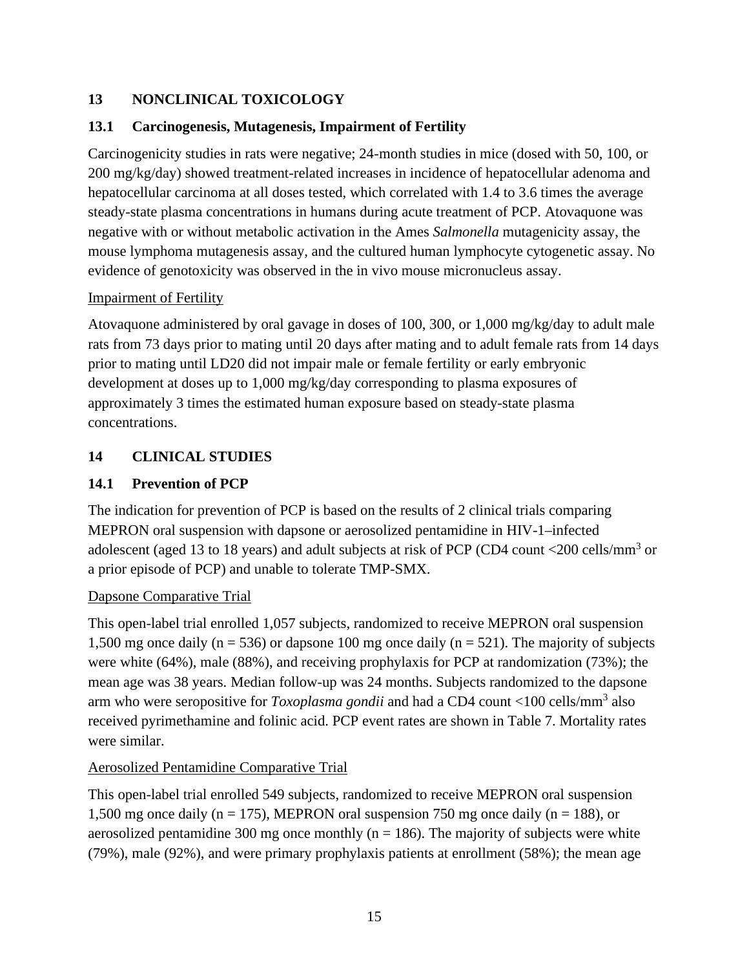## <span id="page-14-0"></span>**13 NONCLINICAL TOXICOLOGY**

## <span id="page-14-1"></span>**13.1 Carcinogenesis, Mutagenesis, Impairment of Fertility**

Carcinogenicity studies in rats were negative; 24-month studies in mice (dosed with 50, 100, or 200 mg/kg/day) showed treatment-related increases in incidence of hepatocellular adenoma and hepatocellular carcinoma at all doses tested, which correlated with 1.4 to 3.6 times the average steady-state plasma concentrations in humans during acute treatment of PCP. Atovaquone was negative with or without metabolic activation in the Ames *Salmonella* mutagenicity assay, the mouse lymphoma mutagenesis assay, and the cultured human lymphocyte cytogenetic assay. No evidence of genotoxicity was observed in the in vivo mouse micronucleus assay.

## Impairment of Fertility

Atovaquone administered by oral gavage in doses of 100, 300, or 1,000 mg/kg/day to adult male rats from 73 days prior to mating until 20 days after mating and to adult female rats from 14 days prior to mating until LD20 did not impair male or female fertility or early embryonic development at doses up to 1,000 mg/kg/day corresponding to plasma exposures of approximately 3 times the estimated human exposure based on steady-state plasma concentrations.

## <span id="page-14-2"></span>**14 CLINICAL STUDIES**

## <span id="page-14-3"></span>**14.1 Prevention of PCP**

The indication for prevention of PCP is based on the results of 2 clinical trials comparing MEPRON oral suspension with dapsone or aerosolized pentamidine in HIV-1–infected adolescent (aged 13 to 18 years) and adult subjects at risk of PCP (CD4 count  $\langle 200 \text{ cells/mm}^3 \rangle$  or a prior episode of PCP) and unable to tolerate TMP-SMX.

## Dapsone Comparative Trial

This open-label trial enrolled 1,057 subjects, randomized to receive MEPRON oral suspension 1,500 mg once daily (n = 536) or dapsone 100 mg once daily (n = 521). The majority of subjects were white (64%), male (88%), and receiving prophylaxis for PCP at randomization (73%); the mean age was 38 years. Median follow-up was 24 months. Subjects randomized to the dapsone arm who were seropositive for *Toxoplasma gondii* and had a CD4 count <100 cells/mm<sup>3</sup> also received pyrimethamine and folinic acid. PCP event rates are shown in Table 7. Mortality rates were similar.

## Aerosolized Pentamidine Comparative Trial

This open-label trial enrolled 549 subjects, randomized to receive MEPRON oral suspension 1,500 mg once daily (n = 175), MEPRON oral suspension 750 mg once daily (n = 188), or aerosolized pentamidine 300 mg once monthly ( $n = 186$ ). The majority of subjects were white (79%), male (92%), and were primary prophylaxis patients at enrollment (58%); the mean age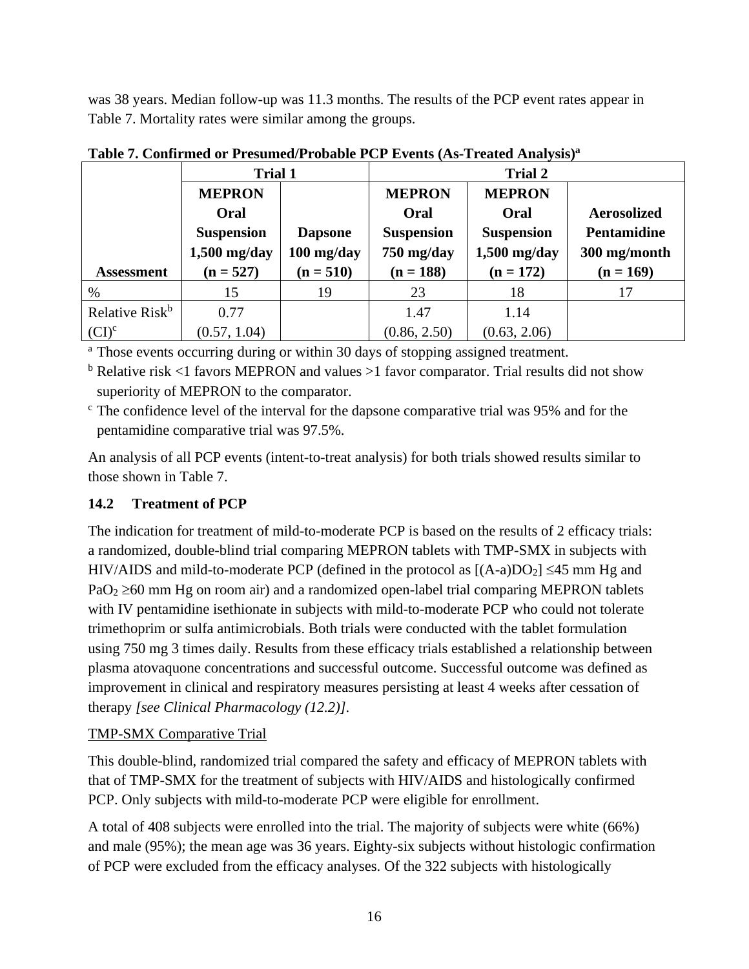was 38 years. Median follow-up was 11.3 months. The results of the PCP event rates appear in Table 7. Mortality rates were similar among the groups.

|                            | Trial 1           |                |                   |                   |                    |
|----------------------------|-------------------|----------------|-------------------|-------------------|--------------------|
|                            | <b>MEPRON</b>     |                | <b>MEPRON</b>     |                   |                    |
|                            | Oral              |                | Oral              | Oral              | <b>Aerosolized</b> |
|                            | <b>Suspension</b> | <b>Dapsone</b> | <b>Suspension</b> | <b>Suspension</b> | <b>Pentamidine</b> |
|                            | $1,500$ mg/day    | $100$ mg/day   | $750$ mg/day      | $1,500$ mg/day    | 300 mg/month       |
| <b>Assessment</b>          | $(n = 527)$       | $(n = 510)$    | $(n = 188)$       | $(n = 172)$       | $(n = 169)$        |
| $\%$                       | 15                | 19             | 23                | 18                | 17                 |
| Relative Risk <sup>b</sup> | 0.77              |                | 1.47              | 1.14              |                    |
| $(CI)^c$                   | (0.57, 1.04)      |                | (0.86, 2.50)      | (0.63, 2.06)      |                    |

**Table 7. Confirmed or Presumed/Probable PCP Events (As-Treated Analysis)a**

<sup>a</sup> Those events occurring during or within 30 days of stopping assigned treatment.

 $b$  Relative risk <1 favors MEPRON and values >1 favor comparator. Trial results did not show superiority of MEPRON to the comparator.

 $\epsilon$ . The confidence level of the interval for the dapsone comparative trial was 95% and for the pentamidine comparative trial was 97.5%.

An analysis of all PCP events (intent-to-treat analysis) for both trials showed results similar to those shown in Table 7.

## <span id="page-15-0"></span>**14.2 Treatment of PCP**

The indication for treatment of mild-to-moderate PCP is based on the results of 2 efficacy trials: a randomized, double-blind trial comparing MEPRON tablets with TMP-SMX in subjects with HIV/AIDS and mild-to-moderate PCP (defined in the protocol as  $[(A-a)DO<sub>2</sub>] \le 45$  mm Hg and  $PaO<sub>2</sub> \ge 60$  mm Hg on room air) and a randomized open-label trial comparing MEPRON tablets with IV pentamidine isethionate in subjects with mild-to-moderate PCP who could not tolerate trimethoprim or sulfa antimicrobials. Both trials were conducted with the tablet formulation using 750 mg 3 times daily. Results from these efficacy trials established a relationship between plasma atovaquone concentrations and successful outcome. Successful outcome was defined as improvement in clinical and respiratory measures persisting at least 4 weeks after cessation of therapy *[see Clinical Pharmacology (12.2)]*.

## TMP-SMX Comparative Trial

This double-blind, randomized trial compared the safety and efficacy of MEPRON tablets with that of TMP-SMX for the treatment of subjects with HIV/AIDS and histologically confirmed PCP. Only subjects with mild-to-moderate PCP were eligible for enrollment.

A total of 408 subjects were enrolled into the trial. The majority of subjects were white (66%) and male (95%); the mean age was 36 years. Eighty-six subjects without histologic confirmation of PCP were excluded from the efficacy analyses. Of the 322 subjects with histologically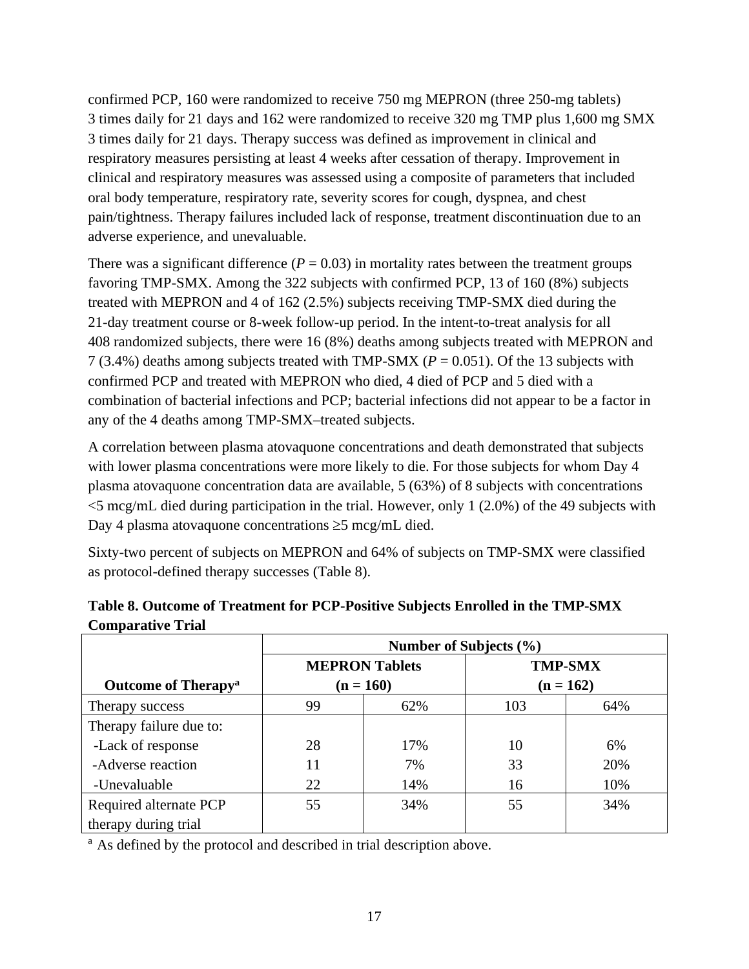confirmed PCP, 160 were randomized to receive 750 mg MEPRON (three 250-mg tablets) 3 times daily for 21 days and 162 were randomized to receive 320 mg TMP plus 1,600 mg SMX 3 times daily for 21 days. Therapy success was defined as improvement in clinical and respiratory measures persisting at least 4 weeks after cessation of therapy. Improvement in clinical and respiratory measures was assessed using a composite of parameters that included oral body temperature, respiratory rate, severity scores for cough, dyspnea, and chest pain/tightness. Therapy failures included lack of response, treatment discontinuation due to an adverse experience, and unevaluable.

There was a significant difference  $(P = 0.03)$  in mortality rates between the treatment groups favoring TMP-SMX. Among the 322 subjects with confirmed PCP, 13 of 160 (8%) subjects treated with MEPRON and 4 of 162 (2.5%) subjects receiving TMP-SMX died during the 21-day treatment course or 8-week follow-up period. In the intent-to-treat analysis for all 408 randomized subjects, there were 16 (8%) deaths among subjects treated with MEPRON and 7 (3.4%) deaths among subjects treated with TMP-SMX (*P* = 0.051). Of the 13 subjects with confirmed PCP and treated with MEPRON who died, 4 died of PCP and 5 died with a combination of bacterial infections and PCP; bacterial infections did not appear to be a factor in any of the 4 deaths among TMP-SMX–treated subjects.

A correlation between plasma atovaquone concentrations and death demonstrated that subjects with lower plasma concentrations were more likely to die. For those subjects for whom Day 4 plasma atovaquone concentration data are available, 5 (63%) of 8 subjects with concentrations  $\leq$ 5 mcg/mL died during participation in the trial. However, only 1 (2.0%) of the 49 subjects with Day 4 plasma atovaquone concentrations ≥5 mcg/mL died.

Sixty-two percent of subjects on MEPRON and 64% of subjects on TMP-SMX were classified as protocol-defined therapy successes (Table 8).

|                                        | Number of Subjects (%) |                       |             |                |  |  |
|----------------------------------------|------------------------|-----------------------|-------------|----------------|--|--|
|                                        |                        | <b>MEPRON Tablets</b> |             | <b>TMP-SMX</b> |  |  |
| <b>Outcome of Therapy</b> <sup>a</sup> | $(n = 160)$            |                       | $(n = 162)$ |                |  |  |
| Therapy success                        | 99                     | 62%                   | 103         | 64%            |  |  |
| Therapy failure due to:                |                        |                       |             |                |  |  |
| -Lack of response                      | 28                     | 17%                   | 10          | 6%             |  |  |
| -Adverse reaction                      | 11                     | 7%                    | 33          | 20%            |  |  |
| -Unevaluable                           | 22                     | 14%                   | 16          | 10%            |  |  |
| Required alternate PCP                 | 55                     | 34%                   | 55          | 34%            |  |  |
| therapy during trial                   |                        |                       |             |                |  |  |

## **Table 8. Outcome of Treatment for PCP-Positive Subjects Enrolled in the TMP-SMX Comparative Trial**

<sup>a</sup> As defined by the protocol and described in trial description above.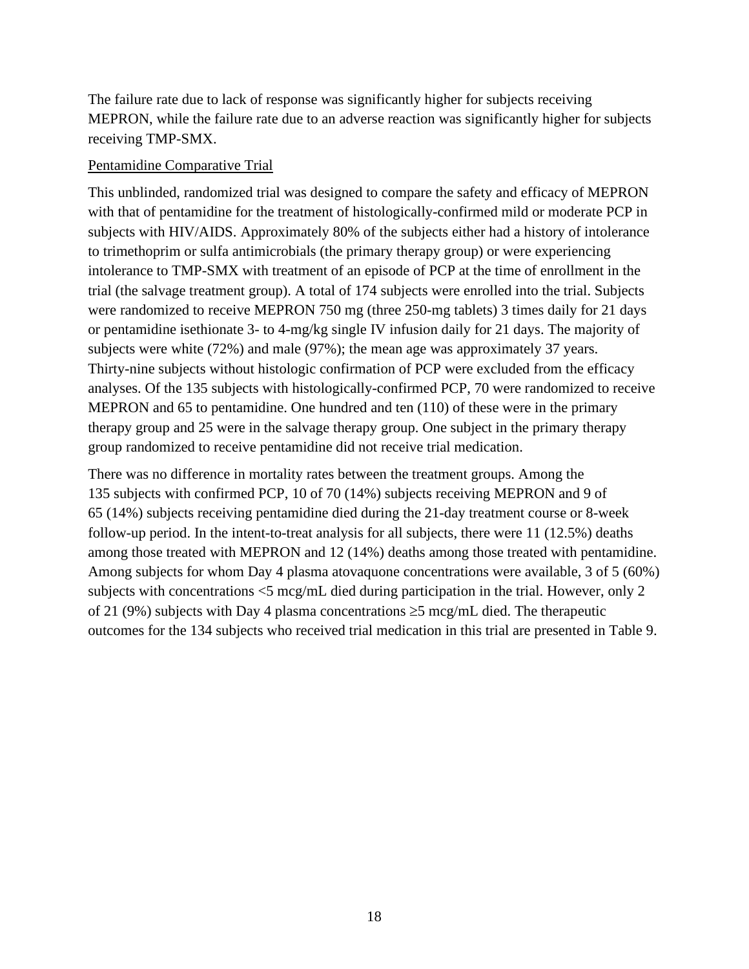The failure rate due to lack of response was significantly higher for subjects receiving MEPRON, while the failure rate due to an adverse reaction was significantly higher for subjects receiving TMP-SMX.

#### Pentamidine Comparative Trial

This unblinded, randomized trial was designed to compare the safety and efficacy of MEPRON with that of pentamidine for the treatment of histologically-confirmed mild or moderate PCP in subjects with HIV/AIDS. Approximately 80% of the subjects either had a history of intolerance to trimethoprim or sulfa antimicrobials (the primary therapy group) or were experiencing intolerance to TMP-SMX with treatment of an episode of PCP at the time of enrollment in the trial (the salvage treatment group). A total of 174 subjects were enrolled into the trial. Subjects were randomized to receive MEPRON 750 mg (three 250-mg tablets) 3 times daily for 21 days or pentamidine isethionate 3- to 4-mg/kg single IV infusion daily for 21 days. The majority of subjects were white (72%) and male (97%); the mean age was approximately 37 years. Thirty-nine subjects without histologic confirmation of PCP were excluded from the efficacy analyses. Of the 135 subjects with histologically-confirmed PCP, 70 were randomized to receive MEPRON and 65 to pentamidine. One hundred and ten (110) of these were in the primary therapy group and 25 were in the salvage therapy group. One subject in the primary therapy group randomized to receive pentamidine did not receive trial medication.

There was no difference in mortality rates between the treatment groups. Among the 135 subjects with confirmed PCP, 10 of 70 (14%) subjects receiving MEPRON and 9 of 65 (14%) subjects receiving pentamidine died during the 21-day treatment course or 8-week follow-up period. In the intent-to-treat analysis for all subjects, there were 11 (12.5%) deaths among those treated with MEPRON and 12 (14%) deaths among those treated with pentamidine. Among subjects for whom Day 4 plasma atovaquone concentrations were available, 3 of 5 (60%) subjects with concentrations <5 mcg/mL died during participation in the trial. However, only 2 of 21 (9%) subjects with Day 4 plasma concentrations ≥5 mcg/mL died. The therapeutic outcomes for the 134 subjects who received trial medication in this trial are presented in Table 9.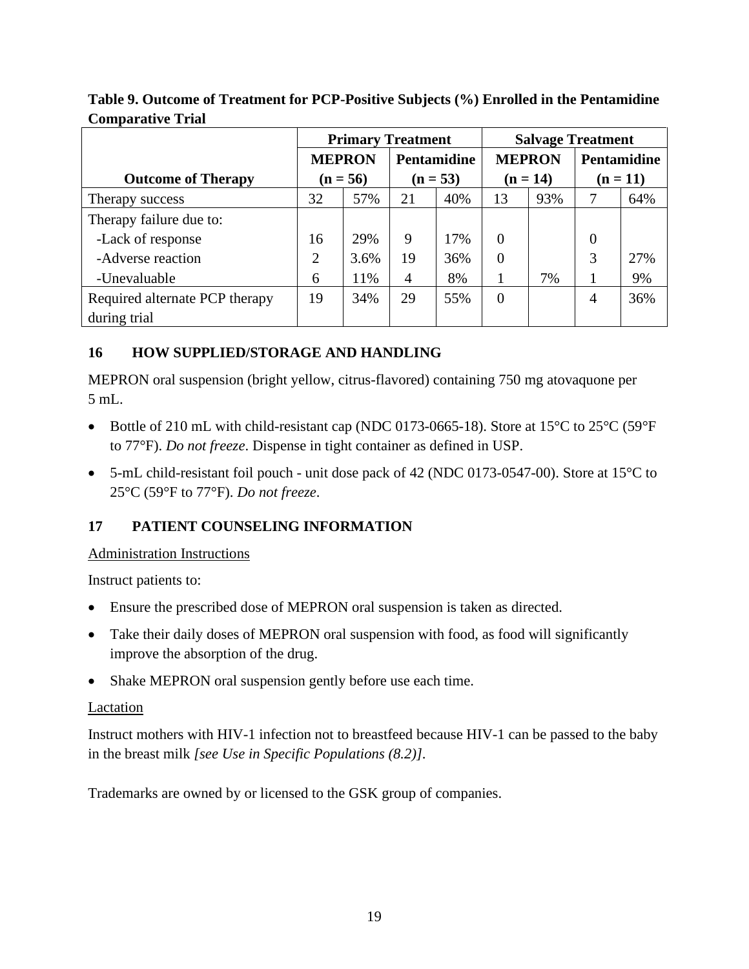|                                | <b>Primary Treatment</b> |      |                |     | <b>Salvage Treatment</b> |     |                    |     |
|--------------------------------|--------------------------|------|----------------|-----|--------------------------|-----|--------------------|-----|
|                                | <b>MEPRON</b>            |      | Pentamidine    |     | <b>MEPRON</b>            |     | <b>Pentamidine</b> |     |
| <b>Outcome of Therapy</b>      | $(n = 56)$               |      | $(n = 53)$     |     | $(n = 14)$               |     | $(n = 11)$         |     |
| Therapy success                | 32                       | 57%  | 21             | 40% | 13                       | 93% |                    | 64% |
| Therapy failure due to:        |                          |      |                |     |                          |     |                    |     |
| -Lack of response              | 16                       | 29%  | 9              | 17% | 0                        |     | 0                  |     |
| -Adverse reaction              | 2                        | 3.6% | 19             | 36% | $\Omega$                 |     | 3                  | 27% |
| -Unevaluable                   | 6                        | 11%  | $\overline{4}$ | 8%  |                          | 7%  |                    | 9%  |
| Required alternate PCP therapy | 19                       | 34%  | 29             | 55% | $\Omega$                 |     | $\overline{4}$     | 36% |
| during trial                   |                          |      |                |     |                          |     |                    |     |

**Table 9. Outcome of Treatment for PCP-Positive Subjects (%) Enrolled in the Pentamidine Comparative Trial**

## <span id="page-18-0"></span>**16 HOW SUPPLIED/STORAGE AND HANDLING**

MEPRON oral suspension (bright yellow, citrus-flavored) containing 750 mg atovaquone per 5 mL.

- Bottle of 210 mL with child-resistant cap (NDC 0173-0665-18). Store at 15°C to 25°C (59°F to 77°F). *Do not freeze*. Dispense in tight container as defined in USP.
- 5-mL child-resistant foil pouch unit dose pack of 42 (NDC 0173-0547-00). Store at 15<sup>o</sup>C to 25°C (59°F to 77°F). *Do not freeze*.

## <span id="page-18-1"></span>**17 PATIENT COUNSELING INFORMATION**

Administration Instructions

Instruct patients to:

- Ensure the prescribed dose of MEPRON oral suspension is taken as directed.
- Take their daily doses of MEPRON oral suspension with food, as food will significantly improve the absorption of the drug.
- Shake MEPRON oral suspension gently before use each time.

## Lactation

Instruct mothers with HIV-1 infection not to breastfeed because HIV-1 can be passed to the baby in the breast milk *[see Use in Specific Populations (8.2)]*.

Trademarks are owned by or licensed to the GSK group of companies.